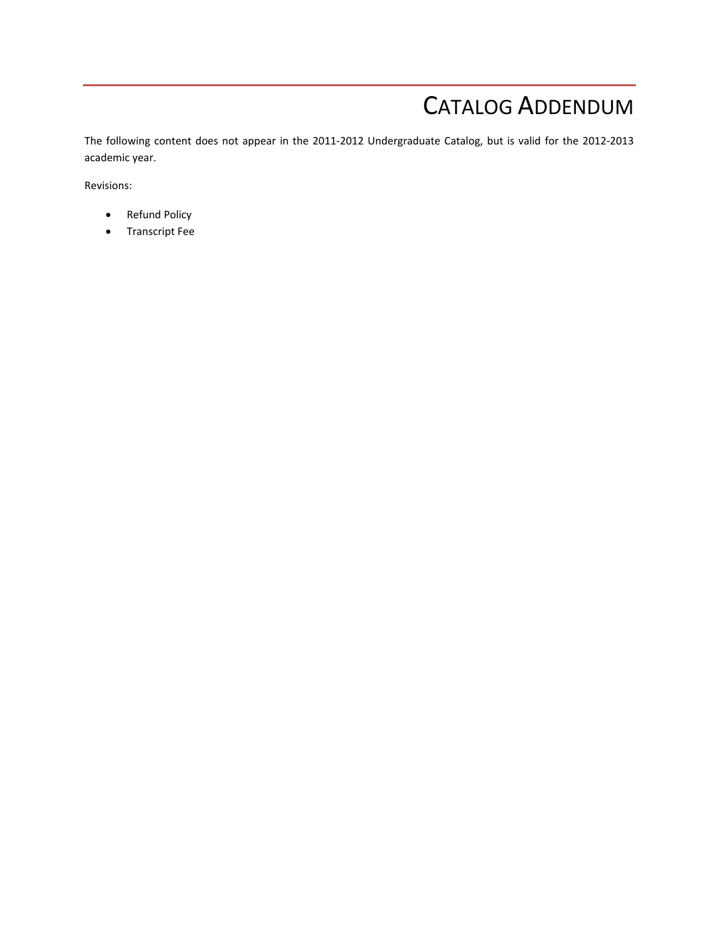# CATALOG ADDENDUM

The following content does not appear in the 2011‐2012 Undergraduate Catalog, but is valid for the 2012‐2013 academic year.

Revisions:

- Refund Policy
- **•** Transcript Fee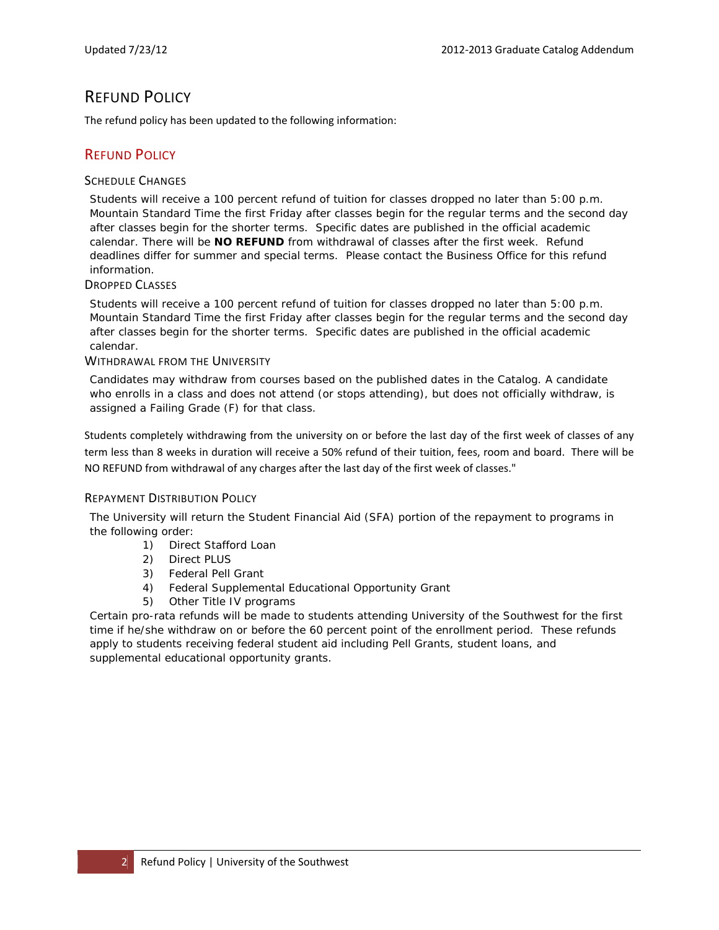### REFUND POLICY

The refund policy has been updated to the following information:

#### **REFUND POLICY**

#### SCHEDULE CHANGES

Students will receive a 100 percent refund of tuition for classes dropped no later than 5:00 p.m. Mountain Standard Time the first Friday after classes begin for the regular terms and the second day after classes begin for the shorter terms. Specific dates are published in the official academic calendar. There will be **NO REFUND** from withdrawal of classes after the first week. Refund deadlines differ for summer and special terms. Please contact the Business Office for this refund information.

#### DROPPED CLASSES

Students will receive a 100 percent refund of tuition for classes dropped no later than 5:00 p.m. Mountain Standard Time the first Friday after classes begin for the regular terms and the second day after classes begin for the shorter terms. Specific dates are published in the official academic calendar.

#### WITHDRAWAL FROM THE UNIVERSITY

Candidates may withdraw from courses based on the published dates in the Catalog. A candidate who enrolls in a class and does not attend (or stops attending), but does not officially withdraw, is assigned a Failing Grade (F) for that class.

Students completely withdrawing from the university on or before the last day of the first week of classes of any term less than 8 weeks in duration will receive a 50% refund of their tuition, fees, room and board. There will be NO REFUND from withdrawal of any charges after the last day of the first week of classes."

#### REPAYMENT DISTRIBUTION POLICY

The University will return the Student Financial Aid (SFA) portion of the repayment to programs in the following order:

- 1) Direct Stafford Loan
- 2) Direct PLUS
- 3) Federal Pell Grant
- 4) Federal Supplemental Educational Opportunity Grant
- 5) Other Title IV programs

Certain pro-rata refunds will be made to students attending University of the Southwest for the first time if he/she withdraw on or before the 60 percent point of the enrollment period. These refunds apply to students receiving federal student aid including Pell Grants, student loans, and supplemental educational opportunity grants.